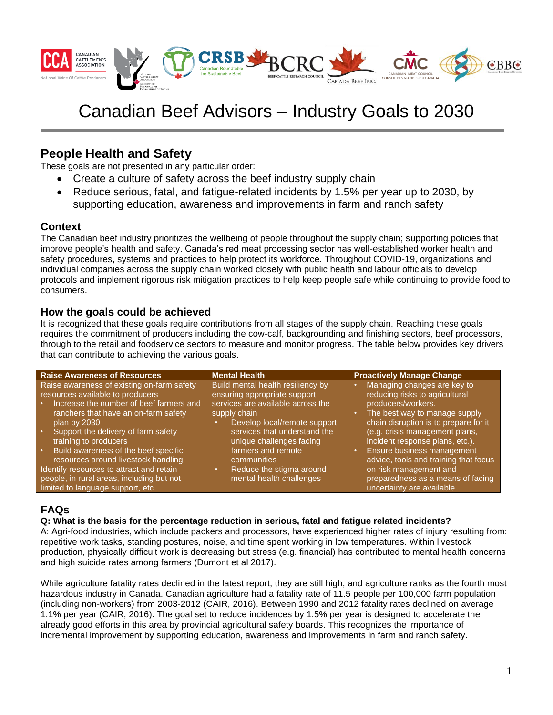

# Canadian Beef Advisors – Industry Goals to 2030

# **People Health and Safety**

These goals are not presented in any particular order:

- Create a culture of safety across the beef industry supply chain
- Reduce serious, fatal, and fatigue-related incidents by 1.5% per year up to 2030, by supporting education, awareness and improvements in farm and ranch safety

### **Context**

The Canadian beef industry prioritizes the wellbeing of people throughout the supply chain; supporting policies that improve people's health and safety. Canada's red meat processing sector has well-established worker health and safety procedures, systems and practices to help protect its workforce. Throughout COVID-19, organizations and individual companies across the supply chain worked closely with public health and labour officials to develop protocols and implement rigorous risk mitigation practices to help keep people safe while continuing to provide food to consumers.

## **How the goals could be achieved**

It is recognized that these goals require contributions from all stages of the supply chain. Reaching these goals requires the commitment of producers including the cow-calf, backgrounding and finishing sectors, beef processors, through to the retail and foodservice sectors to measure and monitor progress. The table below provides key drivers that can contribute to achieving the various goals.

| <b>Raise Awareness of Resources</b>                                            | <b>Mental Health</b>                                              | <b>Proactively Manage Change</b>                                       |
|--------------------------------------------------------------------------------|-------------------------------------------------------------------|------------------------------------------------------------------------|
| Raise awareness of existing on-farm safety<br>resources available to producers | Build mental health resiliency by<br>ensuring appropriate support | Managing changes are key to<br>reducing risks to agricultural          |
| Increase the number of beef farmers and                                        | services are available across the                                 | producers/workers.                                                     |
| ranchers that have an on-farm safety<br>plan by 2030                           | supply chain<br>Develop local/remote support                      | The best way to manage supply<br>chain disruption is to prepare for it |
| Support the delivery of farm safety<br>ر ه ا                                   | services that understand the                                      | (e.g. crisis management plans,<br>incident response plans, etc.).      |
| training to producers<br>Build awareness of the beef specific<br>ا ه           | unique challenges facing<br>farmers and remote                    | Ensure business management                                             |
| resources around livestock handling                                            | communities                                                       | advice, tools and training that focus                                  |
| Identify resources to attract and retain                                       | Reduce the stigma around                                          | on risk management and                                                 |
| people, in rural areas, including but not                                      | mental health challenges                                          | preparedness as a means of facing                                      |
| limited to language support, etc.                                              |                                                                   | uncertainty are available.                                             |

## **FAQs**

#### **Q: What is the basis for the percentage reduction in serious, fatal and fatigue related incidents?**

A: Agri-food industries, which include packers and processors, have experienced higher rates of injury resulting from: repetitive work tasks, standing postures, noise, and time spent working in low temperatures. Within livestock production, physically difficult work is decreasing but stress (e.g. financial) has contributed to mental health concerns and high suicide rates among farmers (Dumont et al 2017).

While agriculture fatality rates declined in the latest report, they are still high, and agriculture ranks as the fourth most hazardous industry in Canada. Canadian agriculture had a fatality rate of 11.5 people per 100,000 farm population (including non-workers) from 2003-2012 (CAIR, 2016). Between 1990 and 2012 fatality rates declined on average 1.1% per year (CAIR, 2016). The goal set to reduce incidences by 1.5% per year is designed to accelerate the already good efforts in this area by provincial agricultural safety boards. This recognizes the importance of incremental improvement by supporting education, awareness and improvements in farm and ranch safety.